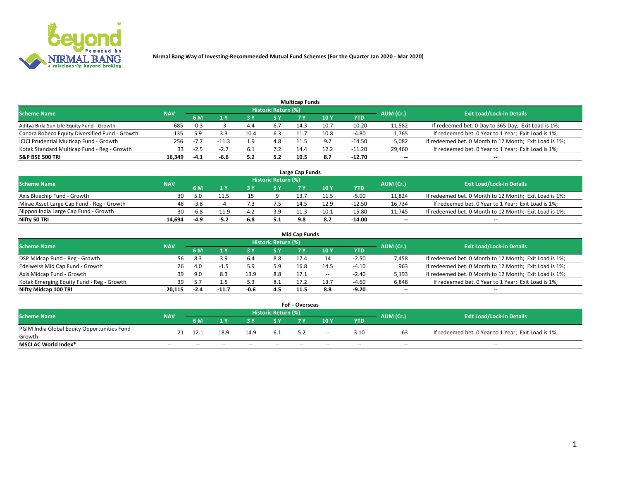

|                                                |            |        |        |      |                     | <b>Multicap Funds</b> |       |          |           |                                                        |
|------------------------------------------------|------------|--------|--------|------|---------------------|-----------------------|-------|----------|-----------|--------------------------------------------------------|
| Scheme Name                                    | <b>NAV</b> |        |        |      | Historic Return (%) |                       |       |          | AUM (Cr.) | <b>Exit Load/Lock-in Details</b>                       |
|                                                |            | 6 M    | 4 Y    |      | 5 Y                 |                       | 10 Y  | YTD      |           |                                                        |
| Aditya Birla Sun Life Equity Fund - Growth     | 685        | $-0.3$ |        | 4.4  | 6.7                 | 14.3                  | 10.7  | -10.20   | 11,582    | If redeemed bet. 0 Day to 365 Day; Exit Load is 1%;    |
| Canara Robeco Equity Diversified Fund - Growth | 135        | : a    |        | 10.4 | 6.3                 |                       | 10.8  | $-4.80$  | 1,765     | If redeemed bet. 0 Year to 1 Year; Exit Load is 1%;    |
| ICICI Prudential Multicap Fund - Growth        | 256        | $-7$   | 11.3   |      | 4.8                 | 115                   | - Q 7 | $-14.50$ | 5,082     | If redeemed bet. 0 Month to 12 Month; Exit Load is 1%; |
| Kotak Standard Multicap Fund - Reg - Growth    | 33         | $-2.5$ | $-2.7$ | 6.1  |                     | 14.4                  | 12.2  | $-11.20$ | 29,460    | If redeemed bet. 0 Year to 1 Year; Exit Load is 1%;    |
| <b>S&amp;P BSE 500 TRI</b>                     | 16,349     |        |        |      | 5.2                 | 10.5                  | 8.7   | -12.70   | $\sim$    | $-$                                                    |

| Large Cap Funds                           |            |        |      |     |                            |      |      |          |           |                                                        |  |  |  |  |
|-------------------------------------------|------------|--------|------|-----|----------------------------|------|------|----------|-----------|--------------------------------------------------------|--|--|--|--|
| Scheme Name                               | <b>NAV</b> |        |      |     | <b>Historic Return (%)</b> |      |      |          | AUM (Cr.) | <b>Exit Load/Lock-in Details</b>                       |  |  |  |  |
|                                           |            | 6 M    |      |     | 5 Y                        |      | 10Y  | YTD      |           |                                                        |  |  |  |  |
| Axis Bluechip Fund - Growth               | 30         |        |      |     |                            |      | 11.5 | $-5.00$  | 11,824    | If redeemed bet. 0 Month to 12 Month; Exit Load is 1%; |  |  |  |  |
| Mirae Asset Large Cap Fund - Reg - Growth | 48         | $-3.8$ |      |     |                            | 14.' | 12.9 | $-12.50$ | 16,734    | If redeemed bet. 0 Year to 1 Year; Exit Load is 1%;    |  |  |  |  |
| Nippon India Large Cap Fund - Growth      | 30         |        |      |     | 3.9                        |      | 10.1 | -15.80   | 11,745    | If redeemed bet. 0 Month to 12 Month; Exit Load is 1%; |  |  |  |  |
| Nifty 50 TRI                              | 14.694     | -4.9   | -5.2 | 6.8 | 5.1                        | 9.8  |      | -14.00   | $\sim$    | $\sim$                                                 |  |  |  |  |

|                                           |            |      |     |      |                     | <b>Mid Cap Funds</b> |       |            |           |                                                        |
|-------------------------------------------|------------|------|-----|------|---------------------|----------------------|-------|------------|-----------|--------------------------------------------------------|
| <b>Scheme Name</b>                        | <b>NAV</b> |      |     |      | Historic Return (%) |                      |       |            | AUM (Cr.) | <b>Exit Load/Lock-in Details</b>                       |
|                                           |            | 6 M  |     |      | 5 Y                 |                      | 10 Y  | <b>YTD</b> |           |                                                        |
| DSP Midcap Fund - Reg - Growth            | 56.        | -8.3 | 3.9 | 6.4  | 8.8                 | 17.4                 |       | $-2.50$    | 7,458     | If redeemed bet. 0 Month to 12 Month; Exit Load is 1%; |
| Edelweiss Mid Cap Fund - Growth           | 26         | 4.0  |     |      | 5.9                 | 16.8                 | 14.5  | $-4.10$    | 963       | If redeemed bet. 0 Month to 12 Month; Exit Load is 1%; |
| Axis Midcap Fund - Growth                 | 39         | 9.0  | 8.3 | 13.9 | 8.8                 | 17.1                 | $- -$ | $-2.40$    | 5,193     | If redeemed bet. 0 Month to 12 Month; Exit Load is 1%; |
| Kotak Emerging Equity Fund - Reg - Growth | 39.        |      |     |      | 8.1                 | 17.2                 | 13.7  | $-4.60$    | 6,848     | If redeemed bet. 0 Year to 1 Year; Exit Load is 1%;    |
| Nifty Midcap 100 TRI                      | 20.115     |      |     | -0.6 | 4.5                 | 11.5                 | 8.8   | $-9.20$    | $\sim$    | $\sim$                                                 |

| <b>FoF - Overseas</b>                         |            |       |       |                                  |       |     |        |            |           |                                                     |  |  |  |
|-----------------------------------------------|------------|-------|-------|----------------------------------|-------|-----|--------|------------|-----------|-----------------------------------------------------|--|--|--|
| <b>Scheme Name</b>                            | <b>NAV</b> |       |       | <b>Exit Load/Lock-in Details</b> |       |     |        |            |           |                                                     |  |  |  |
|                                               |            | 6 M   |       |                                  |       |     | 10Y    | <b>YTD</b> | AUM (Cr.) |                                                     |  |  |  |
| PGIM India Global Equity Opportunities Fund - | 21         | 12.1  | 18.9  | 14.9                             | -6.1  |     | $\sim$ | 3.10       |           | If redeemed bet. 0 Year to 1 Year; Exit Load is 1%; |  |  |  |
| Growth                                        |            |       |       |                                  |       | 5.2 |        |            | 63        |                                                     |  |  |  |
| <b>MSCI AC World Index*</b>                   | $- -$      | $- -$ | $- -$ | $- -$                            | $- -$ | --  | $- -$  | $- -$      | $- -$     | $- -$                                               |  |  |  |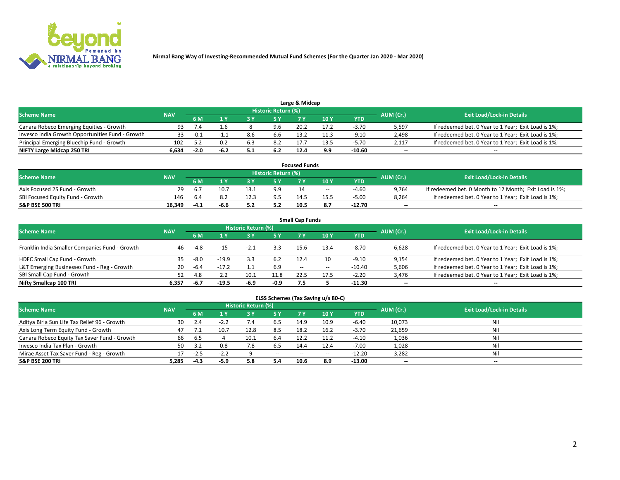

|                                                  |            |        |      |     | Historic Return (%) | Large & Midcap |      |         |                          |                                                     |
|--------------------------------------------------|------------|--------|------|-----|---------------------|----------------|------|---------|--------------------------|-----------------------------------------------------|
| <b>Scheme Name</b>                               | <b>NAV</b> |        |      |     | /5 V                |                | 10Y  | YTD.    | AUM (Cr.)                | <b>Exit Load/Lock-in Details</b>                    |
| Canara Robeco Emerging Equities - Growth         | 93.        |        | 1.b  |     | 9.6                 | 20.2           | 17.2 | $-3.70$ | 5,597                    | If redeemed bet. 0 Year to 1 Year; Exit Load is 1%; |
| Invesco India Growth Opportunities Fund - Growth |            | $-0.1$ |      | 8.6 | 6.b                 | 13.2           | 11.3 | $-9.10$ | 2,498                    | If redeemed bet. 0 Year to 1 Year; Exit Load is 1%; |
| Principal Emerging Bluechip Fund - Growth        | 102        |        | 0.2  | 6.3 | 8.2                 | 17.            | 13.5 | $-5.70$ | 2.117                    | If redeemed bet. 0 Year to 1 Year; Exit Load is 1%; |
| NIFTY Large Midcap 250 TRI                       | 6.634      | $-2.0$ | -6.4 |     | 6.2                 | 12.4           | 9.9  | -10.60  | $\overline{\phantom{a}}$ | $-$                                                 |

| <b>Focused Funds</b>             |        |                                                |      |                                  |     |      |       |          |        |                                                        |  |  |  |
|----------------------------------|--------|------------------------------------------------|------|----------------------------------|-----|------|-------|----------|--------|--------------------------------------------------------|--|--|--|
| <b>Scheme Name</b>               |        | Historic Return (%)<br>AUM (Cr.)<br><b>NAV</b> |      | <b>Exit Load/Lock-in Details</b> |     |      |       |          |        |                                                        |  |  |  |
|                                  |        | 6 M                                            |      |                                  |     |      | 10 Y  | YTD      |        |                                                        |  |  |  |
| Axis Focused 25 Fund - Growth    | 29     | $b_{1}$                                        | 10.7 | 13.1                             | 9.9 |      | $- -$ | $-4.60$  | 9,764  | If redeemed bet. 0 Month to 12 Month; Exit Load is 1%; |  |  |  |
| SBI Focused Equity Fund - Growth | 146    | .6.4                                           |      |                                  | 9.5 | 14.5 |       | $-5.00$  | 8.264  | If redeemed bet. 0 Year to 1 Year; Exit Load is 1%;    |  |  |  |
| <b>S&amp;P BSE 500 TRI</b>       | 16.349 | $-4$ $\rightarrow$                             | -6.6 |                                  | 5.2 | 10.5 |       | $-12.70$ | $\sim$ | $- -$                                                  |  |  |  |

|                                                |            |           |         |                            |        | <b>Small Cap Funds</b> |       |            |           |                                                     |
|------------------------------------------------|------------|-----------|---------|----------------------------|--------|------------------------|-------|------------|-----------|-----------------------------------------------------|
| <b>Scheme Name</b>                             | <b>NAV</b> |           |         | <b>Historic Return (%)</b> |        |                        |       |            | AUM (Cr.) | <b>Exit Load/Lock-in Details</b>                    |
|                                                |            | <b>6M</b> |         |                            | 5 Y    | 7 Y                    | 10Y   | <b>YTD</b> |           |                                                     |
| Franklin India Smaller Companies Fund - Growth | 46         | $-4.8$    | -15     | $-2.1$                     | 3.3    | 15.6                   | 13.4  | $-8.70$    | 6.628     | If redeemed bet. 0 Year to 1 Year; Exit Load is 1%; |
| HDFC Small Cap Fund - Growth                   | 35         | $-8.0$    | $-19.9$ | 3.3                        | 6.2    | 12.4                   |       | $-9.10$    | 9,154     | If redeemed bet. 0 Year to 1 Year; Exit Load is 1%; |
| L&T Emerging Businesses Fund - Reg - Growth    | 20         | $-6.4$    | $-17.2$ |                            | 6.9    | $- -$                  | $- -$ | $-10.40$   | 5,606     | If redeemed bet. 0 Year to 1 Year; Exit Load is 1%; |
| SBI Small Cap Fund - Growth                    | 52         | 4.8       |         |                            | 11.8   | 22.5                   | 17.5  | $-2.20$    | 3,476     | If redeemed bet. 0 Year to 1 Year; Exit Load is 1%; |
| Nifty Smallcap 100 TRI                         | 6.357      | -6.7      | $-19.5$ | -6.9                       | $-0.9$ | 7.5                    |       | -11.30     | $\sim$    | $- -$                                               |

## **ELSS Schemes (Tax Saving u/s 80-C)**

| <b>Scheme Name</b>                           | <b>NAV</b> |        |        | <b>Historic Return (%)</b> |           |                          |        |          | AUM (Cr.) | <b>Exit Load/Lock-in Details</b> |
|----------------------------------------------|------------|--------|--------|----------------------------|-----------|--------------------------|--------|----------|-----------|----------------------------------|
|                                              |            | 6 M    | 4 Y    | 73 Y                       | <b>5Y</b> | 7 Y                      | $-10V$ | YTD      |           |                                  |
| Aditya Birla Sun Life Tax Relief 96 - Growth | 30         |        |        |                            | 6.5       | 14.9                     | 10.9   | $-6.40$  | 10,073    | Nil                              |
| Axis Long Term Equity Fund - Growth          | 47         |        | 10.7   | 12.8                       | 8.5       | 18.2                     | 16.2   | $-3.70$  | 21,659    | Nil                              |
| Canara Robeco Equity Tax Saver Fund - Growth | 66         | .ხ5    |        | 10.1                       | 6.4       | 12.2                     |        | $-4.10$  | 1,036     | Nil                              |
| Invesco India Tax Plan - Growth              | 50         |        | 0.8    | . ه                        | 6.5       | 14.4                     | 12.4   | $-7.00$  | 1,028     | Nil                              |
| Mirae Asset Tax Saver Fund - Reg - Growth    |            |        | $-2.2$ |                            | $\sim$    | $\overline{\phantom{a}}$ | --     | $-12.20$ | 3,282     | Nil                              |
| S&P BSE 200 TRI                              | 5.285      | $-4.3$ | $-5.9$ | 5.8                        | 5.4       | 10.6                     | 8.9    | -13.00   | $\sim$    | $- -$                            |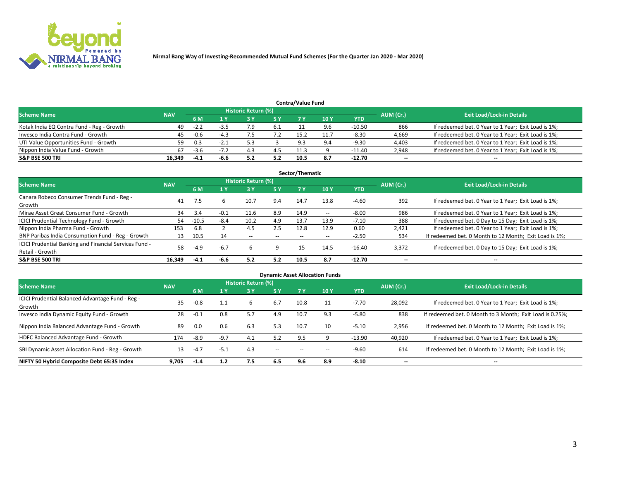

| <b>Contra/Value Fund</b>                  |            |        |      |                     |     |      |      |          |           |                                                     |  |  |  |  |
|-------------------------------------------|------------|--------|------|---------------------|-----|------|------|----------|-----------|-----------------------------------------------------|--|--|--|--|
| <b>Scheme Name</b>                        | <b>NAV</b> |        |      | Historic Return (%) |     |      |      |          | AUM (Cr.) | <b>Exit Load/Lock-in Details</b>                    |  |  |  |  |
|                                           |            | 6 M    |      |                     | 5 Y | 7 V  | 10Y  | YTD      |           |                                                     |  |  |  |  |
| Kotak India EQ Contra Fund - Reg - Growth | 49         | $-2.2$ | -೨.೭ |                     | 6.1 |      |      | $-10.50$ | 866       | If redeemed bet. 0 Year to 1 Year; Exit Load is 1%; |  |  |  |  |
| Invesco India Contra Fund - Growth        | 45         | $-0.6$ |      |                     |     | 15.2 | 11.7 | $-8.30$  | 4,669     | If redeemed bet. 0 Year to 1 Year; Exit Load is 1%; |  |  |  |  |
| UTI Value Opportunities Fund - Growth     | 59         | 0.3    | -2.1 |                     |     | د ۵  | 9.4  | $-9.30$  | 4,403     | If redeemed bet. 0 Year to 1 Year; Exit Load is 1%; |  |  |  |  |
| Nippon India Value Fund - Growth          | 67         | $-3.6$ |      | 4.                  | 4.5 | 11.3 |      | -11.40   | 2,948     | If redeemed bet. 0 Year to 1 Year; Exit Load is 1%; |  |  |  |  |
| <b>S&amp;P BSE 500 TRI</b>                | 16.349     | -41    | -6.6 |                     | 5.2 | 10.5 | 8.7  | -12.70   | $\sim$    | $- -$                                               |  |  |  |  |

| Sector/Thematic                                                           |            |         |        |                     |       |       |                          |            |                          |                                                        |  |  |  |
|---------------------------------------------------------------------------|------------|---------|--------|---------------------|-------|-------|--------------------------|------------|--------------------------|--------------------------------------------------------|--|--|--|
| <b>Scheme Name</b>                                                        | <b>NAV</b> |         |        | Historic Return (%) |       |       |                          |            | AUM (Cr.)                | <b>Exit Load/Lock-in Details</b>                       |  |  |  |
|                                                                           |            | 6 M     | 1 Y    | 73 Y                | 15 Y  | 7 Y   | 10Y                      | <b>YTD</b> |                          |                                                        |  |  |  |
| Canara Robeco Consumer Trends Fund - Reg -<br>Growth                      | 41         |         | h      | 10.7                | 9.4   | 14.7  | 13.8                     | $-4.60$    | 392                      | If redeemed bet. 0 Year to 1 Year; Exit Load is 1%;    |  |  |  |
| Mirae Asset Great Consumer Fund - Growth                                  | 34         | 3.4     | $-0.1$ | 11.6                | 8.9   | 14.9  | $\overline{\phantom{a}}$ | $-8.00$    | 986                      | If redeemed bet. 0 Year to 1 Year; Exit Load is 1%;    |  |  |  |
| ICICI Prudential Technology Fund - Growth                                 | 54         | $-10.5$ | $-8.4$ | 10.2                | 4.9   | 13.7  | 13.9                     | $-7.10$    | 388                      | If redeemed bet. 0 Day to 15 Day; Exit Load is 1%;     |  |  |  |
| Nippon India Pharma Fund - Growth                                         | 153        | 6.8     |        | 4.5                 | 2.5   | 12.8  | 12.9                     | 0.60       | 2,421                    | If redeemed bet. 0 Year to 1 Year; Exit Load is 1%;    |  |  |  |
| BNP Paribas India Consumption Fund - Reg - Growth                         | 13         | 10.5    | 14     | $- -$               | $- -$ | $- -$ | $- -$                    | $-2.50$    | 534                      | If redeemed bet. 0 Month to 12 Month; Exit Load is 1%; |  |  |  |
| ICICI Prudential Banking and Financial Services Fund -<br>Retail - Growth | 58         | $-4.9$  | $-6.7$ | h                   | 9     | 15    | 14.5                     | $-16.40$   | 3,372                    | If redeemed bet. 0 Day to 15 Day; Exit Load is 1%;     |  |  |  |
| <b>S&amp;P BSE 500 TRI</b>                                                | 16.349     | $-4.1$  | -6.6   | 5.2                 | 5.2   | 10.5  | 8.7                      | -12.70     | $\overline{\phantom{a}}$ | $- -$                                                  |  |  |  |

|                                                            |            |        |        |                     |        |           | <b>Dynamic Asset Allocation Funds</b> |            |                          |                                                          |
|------------------------------------------------------------|------------|--------|--------|---------------------|--------|-----------|---------------------------------------|------------|--------------------------|----------------------------------------------------------|
| <b>Scheme Name</b>                                         | <b>NAV</b> |        |        | Historic Return (%) |        |           |                                       |            | AUM (Cr.)                | <b>Exit Load/Lock-in Details</b>                         |
|                                                            |            | 6 M    |        | 3 Y                 | 5 Y    | <b>7Y</b> | 10Y                                   | <b>YTD</b> |                          |                                                          |
| ICICI Prudential Balanced Advantage Fund - Reg -<br>Growth | 35         | $-0.8$ | 1.1    | 6                   | 6.7    | 10.8      | 11                                    | $-7.70$    | 28,092                   | If redeemed bet. 0 Year to 1 Year; Exit Load is 1%;      |
| Invesco India Dynamic Equity Fund - Growth                 | 28         | $-0.1$ | 0.8    | 5.7                 | 4.9    | 10.7      | 9.3                                   | $-5.80$    | 838                      | If redeemed bet. 0 Month to 3 Month; Exit Load is 0.25%; |
| Nippon India Balanced Advantage Fund - Growth              | 89         | 0.0    | 0.6    | 6.3                 | 5.3    | 10.7      | 10                                    | $-5.10$    | 2,956                    | If redeemed bet. 0 Month to 12 Month; Exit Load is 1%;   |
| HDFC Balanced Advantage Fund - Growth                      | 174        | $-8.9$ | $-9.7$ | 4.1                 | 5.2    | 9.5       |                                       | $-13.90$   | 40,920                   | If redeemed bet. 0 Year to 1 Year; Exit Load is 1%;      |
| SBI Dynamic Asset Allocation Fund - Reg - Growth           | 13         | $-4.7$ | $-5.1$ | 4.3                 | $\sim$ | --        |                                       | $-9.60$    | 614                      | If redeemed bet. 0 Month to 12 Month; Exit Load is 1%;   |
| NIFTY 50 Hybrid Composite Debt 65:35 Index                 | 9,705      | $-1.4$ | 1.2    | 7.5                 | 6.5    | 9.6       | 8.9                                   | $-8.10$    | $\overline{\phantom{a}}$ | $- -$                                                    |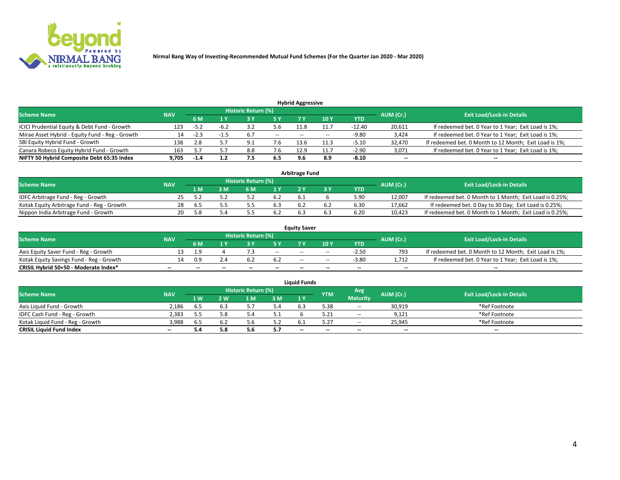

| <b>Hybrid Aggressive</b>                        |            |        |      |                            |                          |                          |       |          |                          |                                                        |  |  |  |  |
|-------------------------------------------------|------------|--------|------|----------------------------|--------------------------|--------------------------|-------|----------|--------------------------|--------------------------------------------------------|--|--|--|--|
| <b>Scheme Name</b>                              | <b>NAV</b> |        |      | <b>Historic Return (%)</b> |                          |                          |       |          | AUM (Cr.)                | <b>Exit Load/Lock-in Details</b>                       |  |  |  |  |
|                                                 |            | 6 M    |      |                            |                          |                          | 10Y   | YTD      |                          |                                                        |  |  |  |  |
| ICICI Prudential Equity & Debt Fund - Growth    | 123        | $-5.2$ | -6.∠ |                            | 5.b                      | 11.8                     | 11.7  | $-12.40$ | 20,611                   | If redeemed bet. 0 Year to 1 Year; Exit Load is 1%;    |  |  |  |  |
| Mirae Asset Hybrid - Equity Fund - Reg - Growth | 14         | $-2.3$ |      | 6.7                        | $\overline{\phantom{a}}$ | $\overline{\phantom{a}}$ | $- -$ | -9.80    | 3,424                    | If redeemed bet. 0 Year to 1 Year; Exit Load is 1%;    |  |  |  |  |
| SBI Equity Hybrid Fund - Growth                 | 138        |        |      | 9.1                        | 7.b                      | 13.6                     | 11.3  | $-5.10$  | 32,470                   | If redeemed bet. 0 Month to 12 Month; Exit Load is 1%; |  |  |  |  |
| Canara Robeco Equity Hybrid Fund - Growth       | 163        |        |      | 8.8                        | 7.6                      | 12.9                     | 11.7  | $-2.90$  | 3,071                    | If redeemed bet. 0 Year to 1 Year; Exit Load is 1%;    |  |  |  |  |
| NIFTY 50 Hybrid Composite Debt 65:35 Index      | 9,705      | $-1.4$ |      | 7.5                        | 6.5                      |                          | 8.9   | $-8.10$  | $\overline{\phantom{a}}$ | $- -$                                                  |  |  |  |  |

|                                            |            |           |                                  |                | Arbitrage Fund |            |        |                                                          |
|--------------------------------------------|------------|-----------|----------------------------------|----------------|----------------|------------|--------|----------------------------------------------------------|
| <b>Scheme Name</b>                         | <b>NAV</b> | AUM (Cr.) | <b>Exit Load/Lock-in Details</b> |                |                |            |        |                                                          |
|                                            |            | l M       | <b>M</b>                         | 1 <sub>V</sub> |                | <b>YTD</b> |        |                                                          |
| IDFC Arbitrage Fund - Reg - Growth         |            |           |                                  | b.Z            | b.1            | 5.90       | 12,007 | If redeemed bet. 0 Month to 1 Month; Exit Load is 0.25%; |
| Kotak Equity Arbitrage Fund - Reg - Growth | 28         | . ხ. ა    |                                  | b.3            |                | 6.30       | 17,662 | If redeemed bet. 0 Day to 30 Day; Exit Load is 0.25%;    |
| Nippon India Arbitrage Fund - Growth       | 20         |           |                                  |                |                | 6.20       | 10.423 | If redeemed bet. 0 Month to 1 Month; Exit Load is 0.25%; |

|                                          |            |           |                                  |                          |                          | <b>Equity Saver</b> |               |            |                          |                                                        |
|------------------------------------------|------------|-----------|----------------------------------|--------------------------|--------------------------|---------------------|---------------|------------|--------------------------|--------------------------------------------------------|
| Scheme Name                              | <b>NAV</b> | AUM (Cr.) | <b>Exit Load/Lock-in Details</b> |                          |                          |                     |               |            |                          |                                                        |
|                                          |            | 6 M       |                                  |                          | 5 Y                      |                     | $\sqrt{10}$ Y | <b>YTD</b> |                          |                                                        |
| Axis Equity Saver Fund - Reg - Growth    |            | c         |                                  |                          | $\sim$                   | $- -$               | $- -$         | $-2.50$    | 793                      | If redeemed bet. 0 Month to 12 Month; Exit Load is 1%; |
| Kotak Equity Savings Fund - Reg - Growth |            | 0.9       | Z.4                              |                          | 6.Z                      | $- -$               | $- -$         | $-3.80$    | 1.712                    | If redeemed bet. 0 Year to 1 Year; Exit Load is 1%;    |
| CRISIL Hybrid 50+50 - Moderate Index*    |            | $- -$     | $-$                              | $\overline{\phantom{a}}$ | $\overline{\phantom{a}}$ | $\sim$              | --            | $\sim$     | $\overline{\phantom{a}}$ | $- -$                                                  |

| <b>Liquid Funds</b>              |            |                   |     |                            |     |        |            |                 |           |                                  |  |  |  |
|----------------------------------|------------|-------------------|-----|----------------------------|-----|--------|------------|-----------------|-----------|----------------------------------|--|--|--|
| <b>Scheme Name</b>               | <b>NAV</b> |                   |     | <b>Historic Return (%)</b> |     |        | <b>YTM</b> | Avg             | AUM (Cr.) | <b>Exit Load/Lock-in Details</b> |  |  |  |
|                                  |            | $4 \, \mathrm{W}$ | 2 W | l M                        | 3M  | 1Y     |            | <b>Maturity</b> |           |                                  |  |  |  |
| Axis Liquid Fund - Growth        | 2.186      | 6.5               |     |                            | 5.4 | 6.3    | 5.38       | $\sim$ $\sim$   | 30,919    | *Ref Footnote                    |  |  |  |
| IDFC Cash Fund - Reg - Growth    | 2.383      |                   | 5.8 |                            |     |        |            | $- -$           | 9,121     | *Ref Footnote                    |  |  |  |
| Kotak Liquid Fund - Reg - Growth | 3,988      | 6.5               |     |                            | 5.2 |        |            | $- -$           | 25,945    | *Ref Footnote                    |  |  |  |
| <b>CRISIL Liquid Fund Index</b>  | $\sim$     | 5.4               |     | J.C                        | 5.7 | $\sim$ | $-$        | $-$             | $\sim$    | $\overline{\phantom{a}}$         |  |  |  |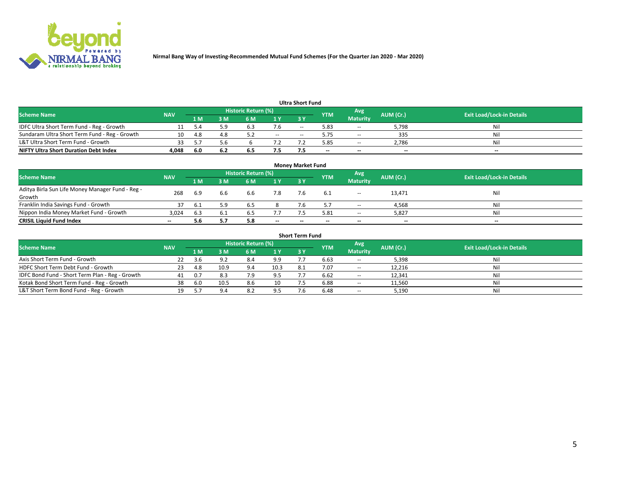

| <b>Ultra Short Fund</b>                                                                                                       |       |      |     |     |               |           |        |                 |       |       |  |  |  |  |
|-------------------------------------------------------------------------------------------------------------------------------|-------|------|-----|-----|---------------|-----------|--------|-----------------|-------|-------|--|--|--|--|
| Historic Return (%)<br>Avg<br><b>Exit Load/Lock-in Details</b><br>AUM (Cr.)<br><b>Scheme Name</b><br><b>NAV</b><br><b>YTM</b> |       |      |     |     |               |           |        |                 |       |       |  |  |  |  |
|                                                                                                                               |       | 1 M  | sм  | 6 M | 1 Y           | <b>3Y</b> |        | <b>Maturity</b> |       |       |  |  |  |  |
| IDFC Ultra Short Term Fund - Reg - Growth                                                                                     |       |      | 5.9 | 6.3 | 7.6           | $-$       | 5.83   | $- -$           | 5,798 | Nil   |  |  |  |  |
| Sundaram Ultra Short Term Fund - Reg - Growth                                                                                 |       | -4.8 | 4.8 |     | $\sim$ $\sim$ | --        | 5.75   | $- -$           | 335   | Nil   |  |  |  |  |
| L&T Ultra Short Term Fund - Growth                                                                                            |       |      |     |     |               |           | 5.85   | $-$             | 2,786 | Nil   |  |  |  |  |
| <b>NIFTY Ultra Short Duration Debt Index</b>                                                                                  | 4,048 | -6.0 | 6.2 | 6.5 | 7.5           |           | $\sim$ | $-$             | $- -$ | $- -$ |  |  |  |  |

| <b>Money Market Fund</b>                         |            |       |      |                     |        |           |                          |                 |           |                                  |  |  |  |
|--------------------------------------------------|------------|-------|------|---------------------|--------|-----------|--------------------------|-----------------|-----------|----------------------------------|--|--|--|
| <b>Scheme Name</b>                               | <b>NAV</b> |       |      | Historic Return (%) |        |           | <b>YTM</b>               | Avg             | AUM (Cr.) | <b>Exit Load/Lock-in Details</b> |  |  |  |
|                                                  |            | '1 M. | 3 M  | 6 M                 | 1Y     | <b>3Y</b> |                          | <b>Maturity</b> |           |                                  |  |  |  |
| Aditya Birla Sun Life Money Manager Fund - Reg - | 268        | 6.9   | 6.6  | 6.6                 | 7.8    |           |                          | $\sim$ $\sim$   | 13,471    | Nil                              |  |  |  |
| Growth                                           |            |       |      |                     |        |           |                          |                 |           |                                  |  |  |  |
| Franklin India Savings Fund - Growth             |            | -6.1  | 5.9  | 6.5                 |        |           |                          | $\sim$ $\sim$   | 4,568     | Nil                              |  |  |  |
| Nippon India Money Market Fund - Growth          | 3,024      | 6.3   | -6.1 | 6.5                 | 7.7    |           | 5.81                     | $\sim$ $\sim$   | 5,827     | Nil                              |  |  |  |
| <b>CRISIL Liquid Fund Index</b>                  | $- -$      | 5.6   |      | 5.8                 | $\sim$ | --        | $\overline{\phantom{a}}$ | $- -$           | $- -$     | $- -$                            |  |  |  |

| <b>Short Term Fund</b>                          |            |      |      |                            |      |           |            |                 |           |                                  |  |  |  |  |
|-------------------------------------------------|------------|------|------|----------------------------|------|-----------|------------|-----------------|-----------|----------------------------------|--|--|--|--|
| <b>Scheme Name</b>                              | <b>NAV</b> |      |      | <b>Historic Return (%)</b> |      |           | <b>YTM</b> | Avg             | AUM (Cr.) | <b>Exit Load/Lock-in Details</b> |  |  |  |  |
|                                                 |            | 1 M  | 3 M  | 6 M                        | 1Y   | <b>3Y</b> |            | <b>Maturity</b> |           |                                  |  |  |  |  |
| Axis Short Term Fund - Growth                   |            |      | 9.2  | 8.4                        | 9.9  |           | 6.63       | $-$             | 5,398     | Nil                              |  |  |  |  |
| HDFC Short Term Debt Fund - Growth              | 23         | -4.8 | 10.9 | 9.4                        | 10.3 |           | 7.07       | $\sim$          | 12,216    | Nil                              |  |  |  |  |
| IDFC Bond Fund - Short Term Plan - Reg - Growth | 41         | 0.7  |      |                            | 9.5  |           | 6.62       | $\sim$          | 12.341    | Nil                              |  |  |  |  |
| Kotak Bond Short Term Fund - Reg - Growth       | 38         | -6.0 | 10.5 | 8.6                        | 10   |           | 6.88       | $\sim$          | 11,560    | Nil                              |  |  |  |  |
| L&T Short Term Bond Fund - Reg - Growth         |            |      |      | 8.2                        | 9.5  |           | 6.48       | $- -$           | 5,190     | Nil                              |  |  |  |  |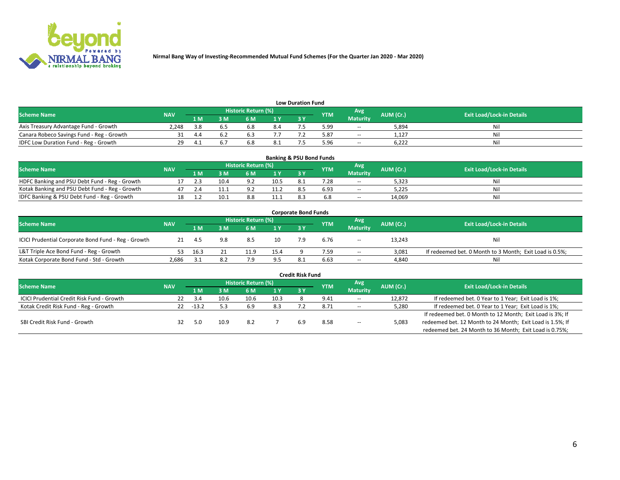

| <b>Low Duration Fund</b>                  |            |     |     |                            |      |  |            |                 |           |                                  |  |  |  |  |
|-------------------------------------------|------------|-----|-----|----------------------------|------|--|------------|-----------------|-----------|----------------------------------|--|--|--|--|
| <b>Scheme Name</b>                        | <b>NAV</b> |     |     | <b>Historic Return (%)</b> |      |  | <b>YTM</b> | Avg             | AUM (Cr.) | <b>Exit Load/Lock-in Details</b> |  |  |  |  |
|                                           |            | 1 M | ያ M | 5 M                        | 1 V  |  |            | <b>Maturity</b> |           |                                  |  |  |  |  |
| Axis Treasury Advantage Fund - Growth     | 2.248      |     |     | b.8                        | 8.4  |  | 5.99       | $- -$           | 5,894     | Nil                              |  |  |  |  |
| Canara Robeco Savings Fund - Reg - Growth |            |     |     |                            |      |  | 5.87       | $-$             | 1,127     | Nil                              |  |  |  |  |
| IDFC Low Duration Fund - Reg - Growth     |            |     |     | b.ŏ                        | -8.1 |  | 5.96       | $-$             | 6.222     | Nil                              |  |  |  |  |

| <b>Banking &amp; PSU Bond Funds</b>            |            |     |      |                            |      |           |            |                 |           |                                  |  |  |  |
|------------------------------------------------|------------|-----|------|----------------------------|------|-----------|------------|-----------------|-----------|----------------------------------|--|--|--|
| <b>Scheme Name</b>                             | <b>NAV</b> |     |      | <b>Historic Return (%)</b> |      |           | <b>YTM</b> | Avg             | AUM (Cr.) | <b>Exit Load/Lock-in Details</b> |  |  |  |
|                                                |            | 1 M | sм   | 6 M                        |      | <b>3Y</b> |            | <b>Maturity</b> |           |                                  |  |  |  |
| HDFC Banking and PSU Debt Fund - Reg - Growth  |            |     | 10.4 | Q <sub>0</sub>             | 10.5 | 8.1       | 7.28       | $\sim$ $\sim$   | 5,323     | Ni                               |  |  |  |
| Kotak Banking and PSU Debt Fund - Reg - Growth |            |     |      | റാ                         | 11.2 |           | 6.93       | $\sim$ $\sim$   | 5.225     | Ni                               |  |  |  |
| IDFC Banking & PSU Debt Fund - Reg - Growth    |            |     | 10.1 | 8.8                        | 11.1 |           |            | $- -$           | 14.069    | Ni                               |  |  |  |

| <b>Corporate Bond Funds</b>                         |            |      |                                          |      |      |            |      |                 |           |                                                         |  |  |  |  |
|-----------------------------------------------------|------------|------|------------------------------------------|------|------|------------|------|-----------------|-----------|---------------------------------------------------------|--|--|--|--|
| <b>Scheme Name</b>                                  | <b>NAV</b> |      | <b>Historic Return (%)</b><br><b>YTM</b> |      |      |            |      | Avg             | AUM (Cr.) | <b>Exit Load/Lock-in Details</b>                        |  |  |  |  |
|                                                     |            | 1 M  | 8 M                                      | 6 M  | 1 Y  | <b>3 Y</b> |      | <b>Maturity</b> |           |                                                         |  |  |  |  |
| ICICI Prudential Corporate Bond Fund - Reg - Growth |            |      | 9.8                                      | 8.5  | 10   |            | 6.76 | $\sim$          | 13,243    | Nil                                                     |  |  |  |  |
| L&T Triple Ace Bond Fund - Reg - Growth             |            | 16.3 |                                          | 11.9 | 15.4 |            | 7.59 | $\sim$          | 3,081     | If redeemed bet. 0 Month to 3 Month; Exit Load is 0.5%; |  |  |  |  |
| Kotak Corporate Bond Fund - Std - Growth            | 2,686      |      | 8.2                                      |      | 9.5  |            | 6.63 | $\sim$ $\sim$   | 4,840     | Nil                                                     |  |  |  |  |

|                                            |            |       |      |                     |      | <b>Credit Risk Fund</b> |            |                 |           |                                                           |
|--------------------------------------------|------------|-------|------|---------------------|------|-------------------------|------------|-----------------|-----------|-----------------------------------------------------------|
| <b>Scheme Name</b>                         | <b>NAV</b> |       |      | Historic Return (%) |      |                         | <b>YTM</b> | Avg             | AUM (Cr.) | <b>Exit Load/Lock-in Details</b>                          |
|                                            |            | 1 M   | : M  | 6 M                 | '1 Y | 3Y                      |            | <b>Maturity</b> |           |                                                           |
| ICICI Prudential Credit Risk Fund - Growth | 22         | -3.4  | 10.6 | 10.6                | 10.3 |                         | 9.41       | $\sim$ $\sim$   | 12,872    | If redeemed bet. 0 Year to 1 Year; Exit Load is 1%;       |
| Kotak Credit Risk Fund - Reg - Growth      | 22         | -13.2 |      | 6.9                 | 8.3  |                         | 8.71       | $\sim$ $\sim$   | 5,280     | If redeemed bet. 0 Year to 1 Year; Exit Load is 1%;       |
|                                            |            |       |      |                     |      |                         |            |                 |           | If redeemed bet. 0 Month to 12 Month; Exit Load is 3%; If |
| SBI Credit Risk Fund - Growth              |            |       | 10.9 | 8.2                 |      |                         | 8.58       | $\sim$ $\sim$   | 5,083     | redeemed bet. 12 Month to 24 Month; Exit Load is 1.5%; If |
|                                            |            |       |      |                     |      |                         |            |                 |           | redeemed bet. 24 Month to 36 Month; Exit Load is 0.75%;   |